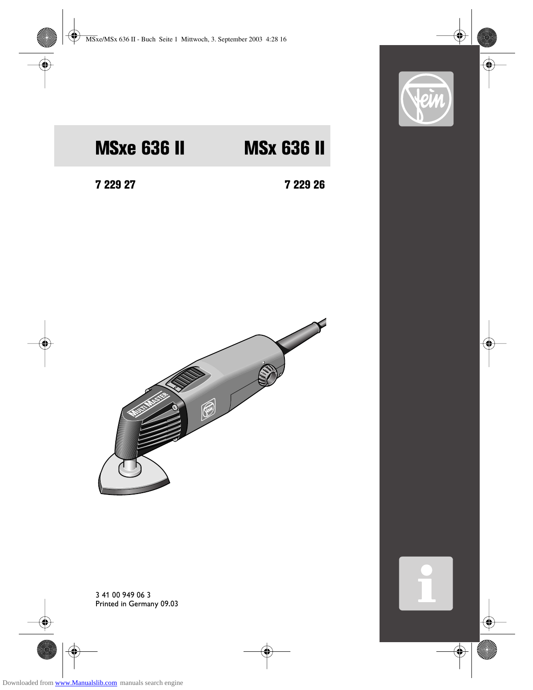

# MSxe 636 II MSx 636 II

7 229 27 7 229 26



3 41 00 949 06 3 Printed in Germany 09.03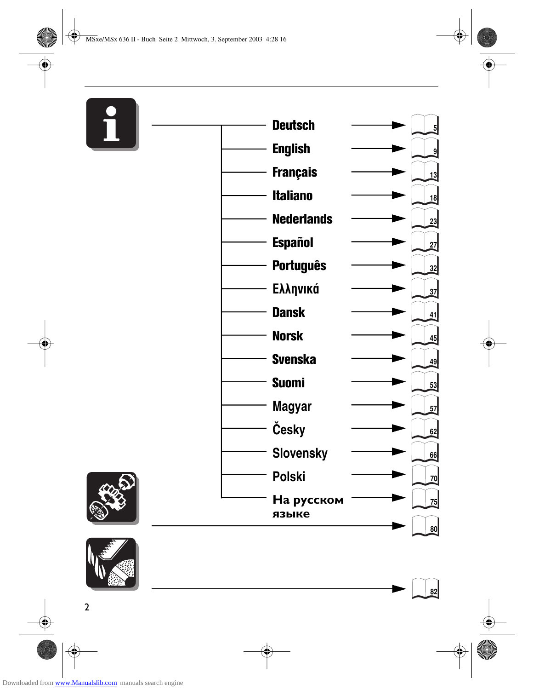# $\mathbf{i}$ I





| <b>Deutsch</b>      | $\overline{5}$    |
|---------------------|-------------------|
| <b>English</b>      | $\mathsf{g}\vert$ |
| <b>Français</b>     | 13                |
| <b>Italiano</b>     | 18                |
| <b>Nederlands</b>   | 23                |
| <b>Español</b>      | 27                |
| <b>Português</b>    | $\frac{32}{3}$    |
| Ελληνικά            | $\overline{37}$   |
| <b>Dansk</b>        | 41                |
| <b>Norsk</b>        | 45                |
| <b>Svenska</b>      | 49                |
| <b>Suomi</b>        | 53                |
| Magyar              | 57                |
| Česky               | 62                |
| <b>Slovensky</b>    | 66                |
| <b>Polski</b>       | 70                |
| На русском<br>языке | 75                |
|                     | 80                |

**82**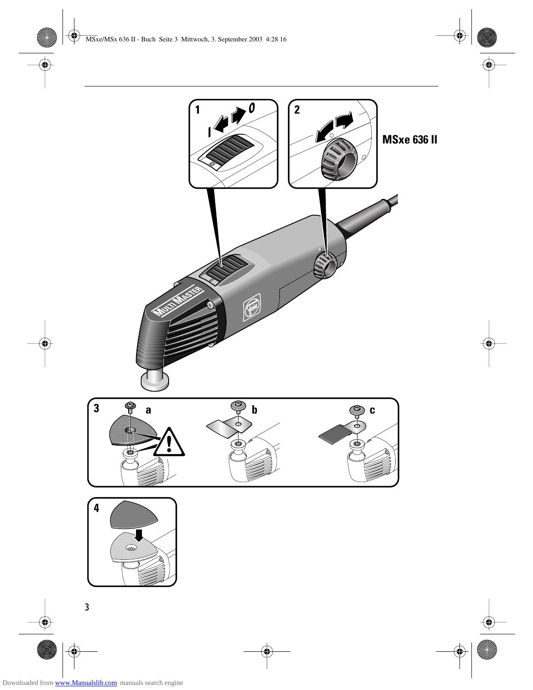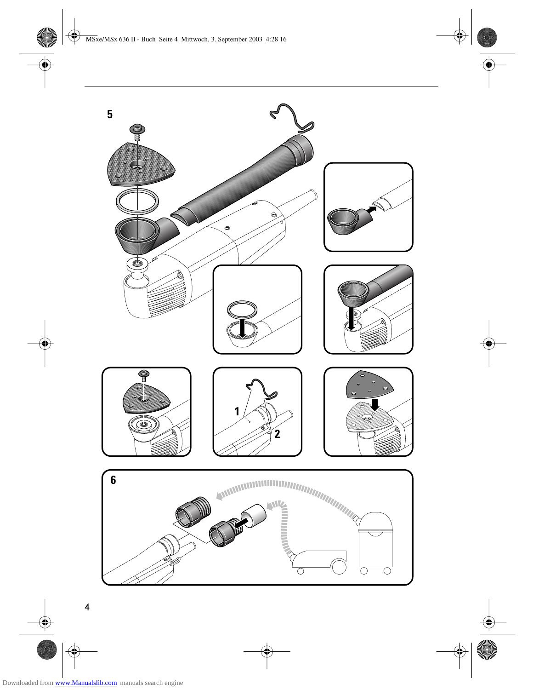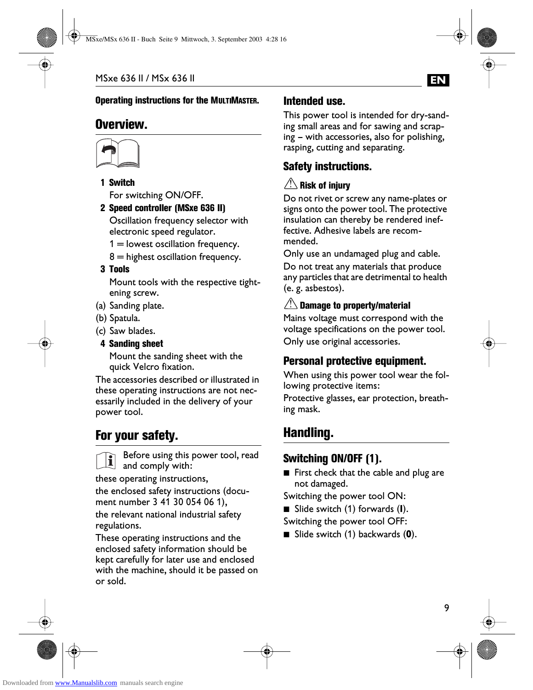#### Operating instructions for the MULTIMASTER.

# Overview.



#### 1 Switch

For switching ON/OFF.

2 Speed controller (MSxe 636 II) Oscillation frequency selector with electronic speed regulator.

 $1 =$  lowest oscillation frequency.

 $8$  = highest oscillation frequency.

#### 3 Tools

Mount tools with the respective tightening screw.

- (a) Sanding plate.
- (b) Spatula.
- (c) Saw blades.

#### 4 Sanding sheet

Mount the sanding sheet with the quick Velcro fixation.

The accessories described or illustrated in these operating instructions are not necessarily included in the delivery of your power tool.

# For your safety.

Before using this power tool, read  $\lfloor \mathbf{I} \rfloor$  and comply with:

these operating instructions,

the enclosed safety instructions (document number 3 41 30 054 06 1), the relevant national industrial safety regulations.

These operating instructions and the enclosed safety information should be kept carefully for later use and enclosed with the machine, should it be passed on or sold.

#### Intended use.

This power tool is intended for dry-sanding small areas and for sawing and scraping – with accessories, also for polishing, rasping, cutting and separating.

**EN**

# Safety instructions.

# $\mathop{?}\limits^{\backslash}$  Risk of injury

Do not rivet or screw any name-plates or signs onto the power tool. The protective insulation can thereby be rendered ineffective. Adhesive labels are recommended.

Only use an undamaged plug and cable. Do not treat any materials that produce any particles that are detrimental to health (e. g. asbestos).

## $\mathrel{\mathop:}\subseteq$  Damage to property/material

Mains voltage must correspond with the voltage specifications on the power tool. Only use original accessories.

# Personal protective equipment.

When using this power tool wear the following protective items:

Protective glasses, ear protection, breathing mask.

# Handling.

# Switching ON/OFF (1).

- First check that the cable and plug are not damaged.
- Switching the power tool ON:
- Slide switch (1) forwards (**I**).

Switching the power tool OFF:

■ Slide switch (1) backwards (0).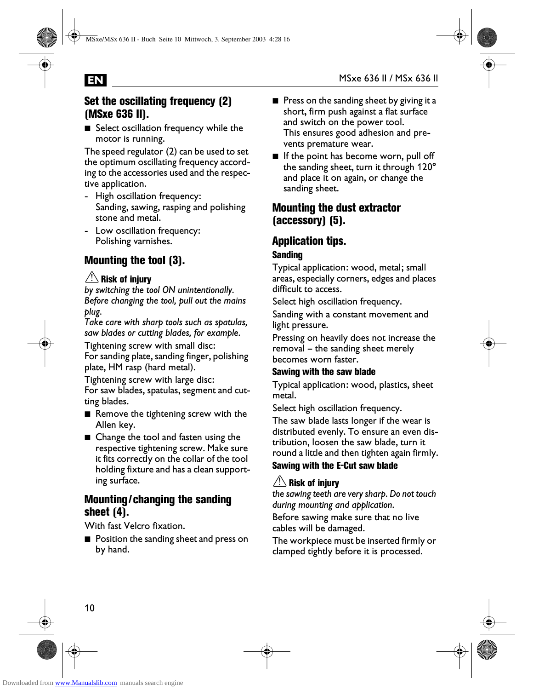#### Set the oscillating frequency (2) (MSxe 636 II).

■ Select oscillation frequency while the motor is running.

The speed regulator (2) can be used to set the optimum oscillating frequency according to the accessories used and the respective application.

- High oscillation frequency: Sanding, sawing, rasping and polishing stone and metal.
- Low oscillation frequency: Polishing varnishes.

# Mounting the tool (3).

### $\mathop{?}\limits^{\backslash}$  Risk of injury

*by switching the tool ON unintentionally. Before changing the tool, pull out the mains plug.*

*Take care with sharp tools such as spatulas, saw blades or cutting blades, for example.*

Tightening screw with small disc: For sanding plate, sanding finger, polishing plate, HM rasp (hard metal).

Tightening screw with large disc: For saw blades, spatulas, segment and cutting blades.

- Remove the tightening screw with the Allen key.
- Change the tool and fasten using the respective tightening screw. Make sure it fits correctly on the collar of the tool holding fixture and has a clean supporting surface.

#### Mounting/changing the sanding sheet (4).

With fast Velcro fixation.

■ Position the sanding sheet and press on by hand.

- Press on the sanding sheet by giving it a short, firm push against a flat surface and switch on the power tool. This ensures good adhesion and prevents premature wear.
- If the point has become worn, pull off the sanding sheet, turn it through 120° and place it on again, or change the sanding sheet.

#### Mounting the dust extractor (accessory) (5).

#### Application tips. Sanding

Typical application: wood, metal; small areas, especially corners, edges and places difficult to access.

Select high oscillation frequency.

Sanding with a constant movement and light pressure.

Pressing on heavily does not increase the removal – the sanding sheet merely becomes worn faster.

#### Sawing with the saw blade

Typical application: wood, plastics, sheet metal.

Select high oscillation frequency.

The saw blade lasts longer if the wear is distributed evenly. To ensure an even distribution, loosen the saw blade, turn it round a little and then tighten again firmly. Sawing with the E-Cut saw blade

# $\mathbin{\overset{\prime}{\textbf{.}}}$  Risk of injury

*the sawing teeth are very sharp. Do not touch during mounting and application.*

Before sawing make sure that no live cables will be damaged.

The workpiece must be inserted firmly or clamped tightly before it is processed.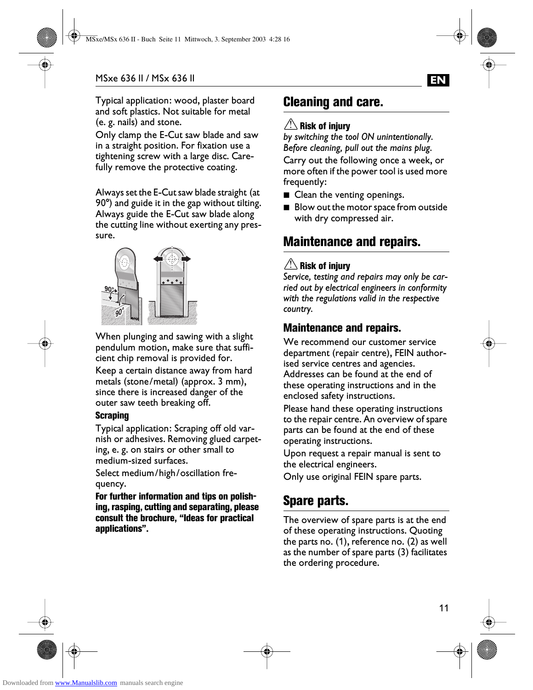Typical application: wood, plaster board and soft plastics. Not suitable for metal (e. g. nails) and stone.

Only clamp the E-Cut saw blade and saw in a straight position. For fixation use a tightening screw with a large disc. Carefully remove the protective coating.

Always set the E-Cut saw blade straight (at 90°) and guide it in the gap without tilting. Always guide the E-Cut saw blade along the cutting line without exerting any pressure.



When plunging and sawing with a slight pendulum motion, make sure that sufficient chip removal is provided for.

Keep a certain distance away from hard metals (stone/metal) (approx. 3 mm), since there is increased danger of the outer saw teeth breaking off.

#### Scraping

Typical application: Scraping off old varnish or adhesives. Removing glued carpeting, e. g. on stairs or other small to medium-sized surfaces.

Select medium/high/oscillation frequency.

For further information and tips on polishing, rasping, cutting and separating, please consult the brochure, "Ideas for practical applications".

# Cleaning and care.

#### $\mathbin{\overset{\prime}{\textbf{.}}\!\!{\textbf{.}}}$  Risk of injury

*by switching the tool ON unintentionally. Before cleaning, pull out the mains plug.*

Carry out the following once a week, or more often if the power tool is used more frequently:

- Clean the venting openings.
- Blow out the motor space from outside with dry compressed air.

# Maintenance and repairs.

#### $\mathbin{\overset{\prime}{\textbf{.}}}$  Risk of injury

*Service, testing and repairs may only be carried out by electrical engineers in conformity with the regulations valid in the respective country.*

#### Maintenance and repairs.

We recommend our customer service department (repair centre), FEIN authorised service centres and agencies. Addresses can be found at the end of these operating instructions and in the enclosed safety instructions.

Please hand these operating instructions to the repair centre. An overview of spare parts can be found at the end of these operating instructions.

Upon request a repair manual is sent to the electrical engineers.

Only use original FEIN spare parts.

# Spare parts.

The overview of spare parts is at the end of these operating instructions. Quoting the parts no. (1), reference no. (2) as well as the number of spare parts (3) facilitates the ordering procedure.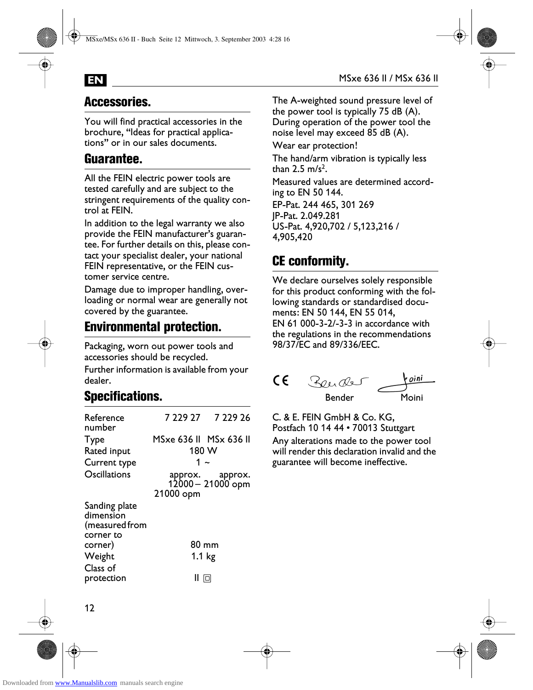

# Accessories.

You will find practical accessories in the brochure, "Ideas for practical applications" or in our sales documents.

# Guarantee.

All the FEIN electric power tools are tested carefully and are subject to the stringent requirements of the quality control at FEIN.

In addition to the legal warranty we also provide the FEIN manufacturer's guarantee. For further details on this, please contact your specialist dealer, your national FEIN representative, or the FEIN customer service centre.

Damage due to improper handling, overloading or normal wear are generally not covered by the guarantee.

# Environmental protection.

Packaging, worn out power tools and accessories should be recycled.

Further information is available from your dealer.

# Specifications.

| Reference<br>number                          |                        | 7 229 27 7 229 26                    |  |
|----------------------------------------------|------------------------|--------------------------------------|--|
| <b>Type</b>                                  | MSxe 636 II MSx 636 II |                                      |  |
| Rated input                                  | 180 W                  |                                      |  |
| Current type                                 | 1 ~                    |                                      |  |
| Oscillations                                 | 21000 opm              | approx. approx.<br>12000 – 21000 opm |  |
| Sanding plate<br>dimension<br>(measured from |                        |                                      |  |
| corner to<br>corner)                         |                        | 80 mm                                |  |
| Weight                                       | 1.1 <sub>kg</sub>      |                                      |  |
| Class of<br>protection                       |                        |                                      |  |

The A-weighted sound pressure level of the power tool is typically 75 dB (A). During operation of the power tool the noise level may exceed 85 dB (A).

Wear ear protection!

The hand/arm vibration is typically less than  $2.5 \text{ m/s}^2$ .

Measured values are determined according to EN 50 144.

EP-Pat. 244 465, 301 269 JP-Pat. 2.049.281 US-Pat. 4,920,702 / 5,123,216 / 4,905,420

# CE conformity.

We declare ourselves solely responsible for this product conforming with the following standards or standardised documents: EN 50 144, EN 55 014, EN 61 000-3-2/-3-3 in accordance with the regulations in the recommendations 98/37/EC and 89/336/EEC.



C. & E. FEIN GmbH & Co. KG, Postfach 10 14 44 • 70013 Stuttgart Any alterations made to the power tool will render this declaration invalid and the guarantee will become ineffective.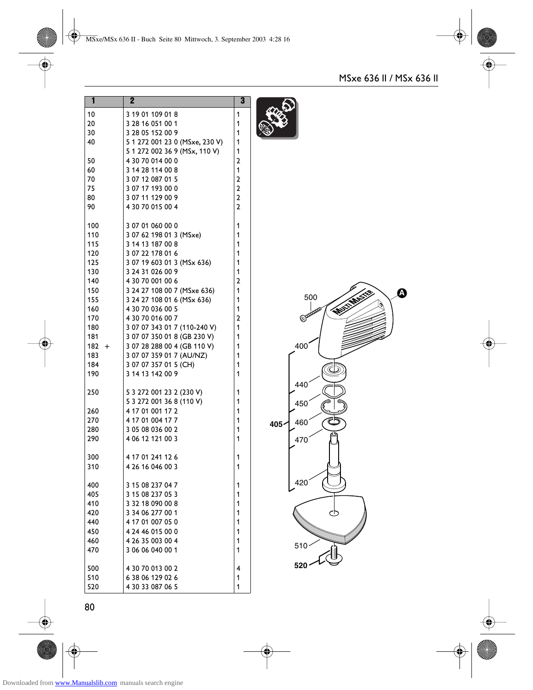| 1     | 2                              | 3                       |  |
|-------|--------------------------------|-------------------------|--|
| 10    | 3 19 01 109 01 8               | 1                       |  |
| 20    | 3 28 16 051 00 1               | 1                       |  |
| 30    | 3 28 05 152 00 9               | 1                       |  |
| 40    | 5 1 272 001 23 0 (MSxe, 230 V) | 1                       |  |
|       | 5 1 272 002 36 9 (MSx, 110 V)  | 1                       |  |
| 50    | 4 30 70 014 00 0               | $\overline{a}$          |  |
| 60    | 3 14 28 114 00 8               | 1                       |  |
| 70    | 3 07 12 087 01 5               | $\overline{\mathbf{c}}$ |  |
| 75    | 3 07 17 193 00 0               | $\overline{\mathbf{c}}$ |  |
| 80    | 3 07 11 129 00 9               | $\overline{\mathbf{c}}$ |  |
| 90    | 4 30 70 015 00 4               | $\overline{\mathbf{c}}$ |  |
| 100   | 3 07 01 060 00 0               | 1                       |  |
| 110   | 3 07 62 198 01 3 (MSxe)        | 1                       |  |
| 115   | 3 14 13 187 00 8               | 1                       |  |
| 120   | 3 07 22 178 01 6               | 1                       |  |
| 125   | 3 07 19 603 01 3 (MSx 636)     | 1                       |  |
| 130   | 3 24 31 026 00 9               | 1                       |  |
| 140   | 4 30 70 001 00 6               | $\mathbf{c}$            |  |
| 150   | 3 24 27 108 00 7 (MSxe 636)    | 1                       |  |
| 155   | 3 24 27 108 01 6 (MSx 636)     | 1                       |  |
| 160   | 4 30 70 036 00 5               | 1                       |  |
| 170   | 4 30 70 016 00 7               | $\overline{a}$          |  |
| 180   | 3 07 07 343 01 7 (110-240 V)   | 1                       |  |
| 181   | 3 07 07 350 01 8 (GB 230 V)    | 1                       |  |
| 182 + | 3 07 28 288 00 4 (GB 110 V)    | 1                       |  |
| 183   | 3 07 07 359 01 7 (AU/NZ)       | 1                       |  |
| 184   | 3 07 07 357 01 5 (CH)          | 1                       |  |
| 190   | 3 14 13 142 00 9               | 1                       |  |
| 250   | 5 3 272 001 23 2 (230 V)       | 1                       |  |
|       | 5 3 272 001 36 8 (110 V)       | 1                       |  |
| 260   | 4 17 01 001 17 2               | 1                       |  |
| 270   | 4 17 01 004 17 7               | 1                       |  |
| 280   | 3 05 08 036 00 2               | 1                       |  |
| 290   | 4 06 12 121 00 3               | 1                       |  |
| 300   | 4 17 01 241 12 6               | 1                       |  |
| 310   | 4 26 16 046 00 3               | 1                       |  |
| 400   | 3 15 08 237 04 7               | 1                       |  |
| 405   | 3 15 08 237 05 3               | 1                       |  |
| 410   | 3 32 18 090 00 8               | 1                       |  |
| 420   | 3 34 06 277 00 1               | 1                       |  |
| 440   | 4 17 01 007 05 0               | 1                       |  |
| 450   | 4 24 46 015 00 0               | 1                       |  |
| 460   | 4 26 35 003 00 4               | 1                       |  |
| 470   | 3 06 06 040 00 1               | 1                       |  |
| 500   | 4 30 70 013 00 2               | 4                       |  |
| 510   | 638 06 129 02 6                | 1                       |  |
| 520   | 4 30 33 087 06 5               | 1                       |  |

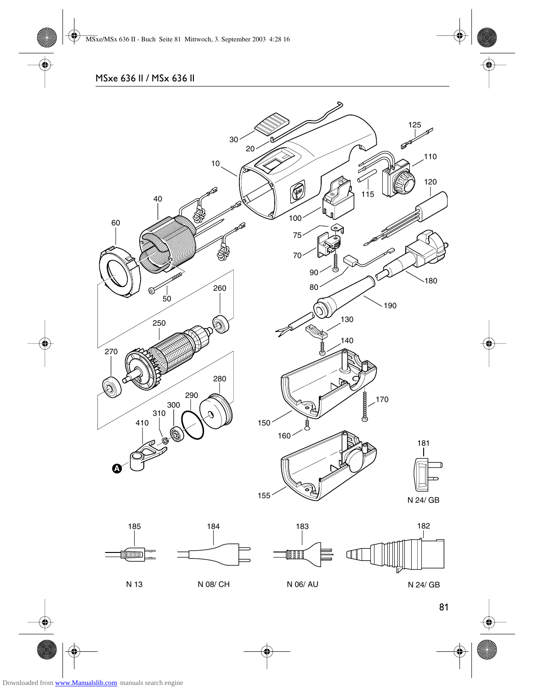

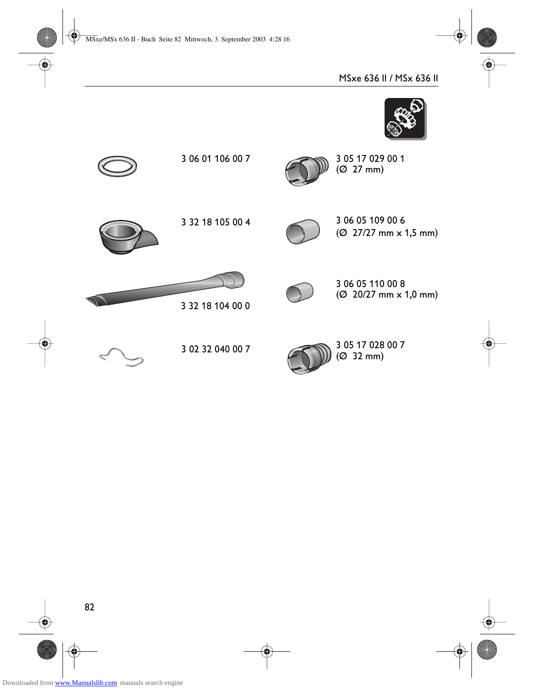